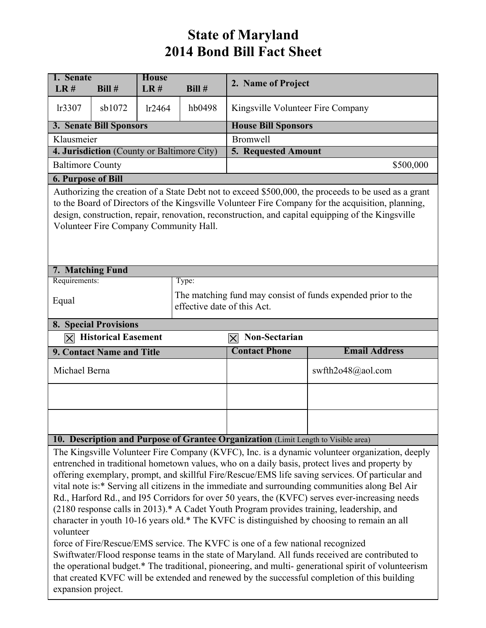## **State of Maryland 2014 Bond Bill Fact Sheet**

| 1. Senate<br>LR#                                                                                                                                                                                                                                                                                                                                                                      | Bill#                                                                                       | <b>House</b><br>LR# | Bill#  | 2. Name of Project                                                             |                                                                                                                                                                                                                                                                                                                                                                                                                                                                                                                                                                                                                                                                                                                                                                                                         |  |  |  |
|---------------------------------------------------------------------------------------------------------------------------------------------------------------------------------------------------------------------------------------------------------------------------------------------------------------------------------------------------------------------------------------|---------------------------------------------------------------------------------------------|---------------------|--------|--------------------------------------------------------------------------------|---------------------------------------------------------------------------------------------------------------------------------------------------------------------------------------------------------------------------------------------------------------------------------------------------------------------------------------------------------------------------------------------------------------------------------------------------------------------------------------------------------------------------------------------------------------------------------------------------------------------------------------------------------------------------------------------------------------------------------------------------------------------------------------------------------|--|--|--|
|                                                                                                                                                                                                                                                                                                                                                                                       |                                                                                             |                     |        |                                                                                |                                                                                                                                                                                                                                                                                                                                                                                                                                                                                                                                                                                                                                                                                                                                                                                                         |  |  |  |
| lr3307                                                                                                                                                                                                                                                                                                                                                                                | sb1072                                                                                      | lr2464              | hb0498 | Kingsville Volunteer Fire Company                                              |                                                                                                                                                                                                                                                                                                                                                                                                                                                                                                                                                                                                                                                                                                                                                                                                         |  |  |  |
|                                                                                                                                                                                                                                                                                                                                                                                       | 3. Senate Bill Sponsors                                                                     |                     |        | <b>House Bill Sponsors</b>                                                     |                                                                                                                                                                                                                                                                                                                                                                                                                                                                                                                                                                                                                                                                                                                                                                                                         |  |  |  |
| Klausmeier                                                                                                                                                                                                                                                                                                                                                                            |                                                                                             |                     |        | <b>Bromwell</b>                                                                |                                                                                                                                                                                                                                                                                                                                                                                                                                                                                                                                                                                                                                                                                                                                                                                                         |  |  |  |
|                                                                                                                                                                                                                                                                                                                                                                                       | 4. Jurisdiction (County or Baltimore City)                                                  |                     |        | <b>5. Requested Amount</b>                                                     |                                                                                                                                                                                                                                                                                                                                                                                                                                                                                                                                                                                                                                                                                                                                                                                                         |  |  |  |
| <b>Baltimore County</b>                                                                                                                                                                                                                                                                                                                                                               |                                                                                             |                     |        | \$500,000                                                                      |                                                                                                                                                                                                                                                                                                                                                                                                                                                                                                                                                                                                                                                                                                                                                                                                         |  |  |  |
| <b>6. Purpose of Bill</b><br>Authorizing the creation of a State Debt not to exceed \$500,000, the proceeds to be used as a grant<br>to the Board of Directors of the Kingsville Volunteer Fire Company for the acquisition, planning,<br>design, construction, repair, renovation, reconstruction, and capital equipping of the Kingsville<br>Volunteer Fire Company Community Hall. |                                                                                             |                     |        |                                                                                |                                                                                                                                                                                                                                                                                                                                                                                                                                                                                                                                                                                                                                                                                                                                                                                                         |  |  |  |
|                                                                                                                                                                                                                                                                                                                                                                                       | 7. Matching Fund                                                                            |                     |        |                                                                                |                                                                                                                                                                                                                                                                                                                                                                                                                                                                                                                                                                                                                                                                                                                                                                                                         |  |  |  |
| Requirements:                                                                                                                                                                                                                                                                                                                                                                         |                                                                                             |                     | Type:  |                                                                                |                                                                                                                                                                                                                                                                                                                                                                                                                                                                                                                                                                                                                                                                                                                                                                                                         |  |  |  |
| Equal                                                                                                                                                                                                                                                                                                                                                                                 | The matching fund may consist of funds expended prior to the<br>effective date of this Act. |                     |        |                                                                                |                                                                                                                                                                                                                                                                                                                                                                                                                                                                                                                                                                                                                                                                                                                                                                                                         |  |  |  |
|                                                                                                                                                                                                                                                                                                                                                                                       | <b>8. Special Provisions</b>                                                                |                     |        |                                                                                |                                                                                                                                                                                                                                                                                                                                                                                                                                                                                                                                                                                                                                                                                                                                                                                                         |  |  |  |
| $ \boldsymbol{\times} $                                                                                                                                                                                                                                                                                                                                                               | <b>Historical Easement</b>                                                                  |                     |        | Non-Sectarian<br>$ \boldsymbol{\times} $                                       |                                                                                                                                                                                                                                                                                                                                                                                                                                                                                                                                                                                                                                                                                                                                                                                                         |  |  |  |
|                                                                                                                                                                                                                                                                                                                                                                                       | 9. Contact Name and Title                                                                   |                     |        | <b>Contact Phone</b>                                                           | <b>Email Address</b>                                                                                                                                                                                                                                                                                                                                                                                                                                                                                                                                                                                                                                                                                                                                                                                    |  |  |  |
| Michael Berna                                                                                                                                                                                                                                                                                                                                                                         |                                                                                             |                     |        |                                                                                | swfth2o48@aol.com                                                                                                                                                                                                                                                                                                                                                                                                                                                                                                                                                                                                                                                                                                                                                                                       |  |  |  |
|                                                                                                                                                                                                                                                                                                                                                                                       |                                                                                             |                     |        |                                                                                |                                                                                                                                                                                                                                                                                                                                                                                                                                                                                                                                                                                                                                                                                                                                                                                                         |  |  |  |
|                                                                                                                                                                                                                                                                                                                                                                                       |                                                                                             |                     |        |                                                                                |                                                                                                                                                                                                                                                                                                                                                                                                                                                                                                                                                                                                                                                                                                                                                                                                         |  |  |  |
| 10. Description and Purpose of Grantee Organization (Limit Length to Visible area)                                                                                                                                                                                                                                                                                                    |                                                                                             |                     |        |                                                                                |                                                                                                                                                                                                                                                                                                                                                                                                                                                                                                                                                                                                                                                                                                                                                                                                         |  |  |  |
| volunteer<br>the operational budget.* The traditional, pioneering, and multi-generational spirit of volunteerism<br>that created KVFC will be extended and renewed by the successful completion of this building                                                                                                                                                                      |                                                                                             |                     |        | force of Fire/Rescue/EMS service. The KVFC is one of a few national recognized | The Kingsville Volunteer Fire Company (KVFC), Inc. is a dynamic volunteer organization, deeply<br>entrenched in traditional hometown values, who on a daily basis, protect lives and property by<br>offering exemplary, prompt, and skillful Fire/Rescue/EMS life saving services. Of particular and<br>vital note is:* Serving all citizens in the immediate and surrounding communities along Bel Air<br>Rd., Harford Rd., and I95 Corridors for over 50 years, the (KVFC) serves ever-increasing needs<br>(2180 response calls in 2013).* A Cadet Youth Program provides training, leadership, and<br>character in youth 10-16 years old.* The KVFC is distinguished by choosing to remain an all<br>Swiftwater/Flood response teams in the state of Maryland. All funds received are contributed to |  |  |  |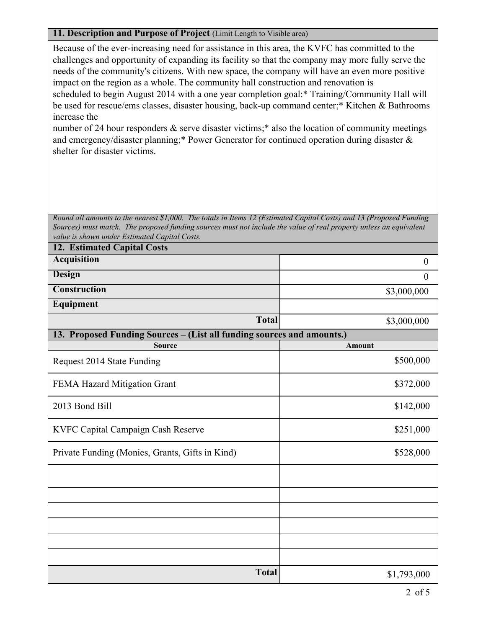## **11. Description and Purpose of Project** (Limit Length to Visible area)

Because of the ever-increasing need for assistance in this area, the KVFC has committed to the challenges and opportunity of expanding its facility so that the company may more fully serve the needs of the community's citizens. With new space, the company will have an even more positive impact on the region as a whole. The community hall construction and renovation is scheduled to begin August 2014 with a one year completion goal:\* Training/Community Hall will be used for rescue/ems classes, disaster housing, back-up command center;\* Kitchen & Bathrooms increase the

number of 24 hour responders  $\&$  serve disaster victims;<sup>\*</sup> also the location of community meetings and emergency/disaster planning;\* Power Generator for continued operation during disaster & shelter for disaster victims.

*Round all amounts to the nearest \$1,000. The totals in Items 12 (Estimated Capital Costs) and 13 (Proposed Funding Sources) must match. The proposed funding sources must not include the value of real property unless an equivalent value is shown under Estimated Capital Costs.*

| <b>12. Estimated Capital Costs</b>                                     |                  |  |  |  |  |  |
|------------------------------------------------------------------------|------------------|--|--|--|--|--|
| <b>Acquisition</b>                                                     | $\boldsymbol{0}$ |  |  |  |  |  |
| <b>Design</b>                                                          | $\overline{0}$   |  |  |  |  |  |
| <b>Construction</b>                                                    | \$3,000,000      |  |  |  |  |  |
| Equipment                                                              |                  |  |  |  |  |  |
| <b>Total</b>                                                           | \$3,000,000      |  |  |  |  |  |
| 13. Proposed Funding Sources - (List all funding sources and amounts.) |                  |  |  |  |  |  |
| <b>Source</b>                                                          | Amount           |  |  |  |  |  |
| Request 2014 State Funding                                             | \$500,000        |  |  |  |  |  |
| FEMA Hazard Mitigation Grant                                           | \$372,000        |  |  |  |  |  |
| 2013 Bond Bill                                                         | \$142,000        |  |  |  |  |  |
| KVFC Capital Campaign Cash Reserve                                     | \$251,000        |  |  |  |  |  |
| Private Funding (Monies, Grants, Gifts in Kind)                        | \$528,000        |  |  |  |  |  |
|                                                                        |                  |  |  |  |  |  |
|                                                                        |                  |  |  |  |  |  |
|                                                                        |                  |  |  |  |  |  |
|                                                                        |                  |  |  |  |  |  |
|                                                                        |                  |  |  |  |  |  |
|                                                                        |                  |  |  |  |  |  |
| <b>Total</b>                                                           | \$1,793,000      |  |  |  |  |  |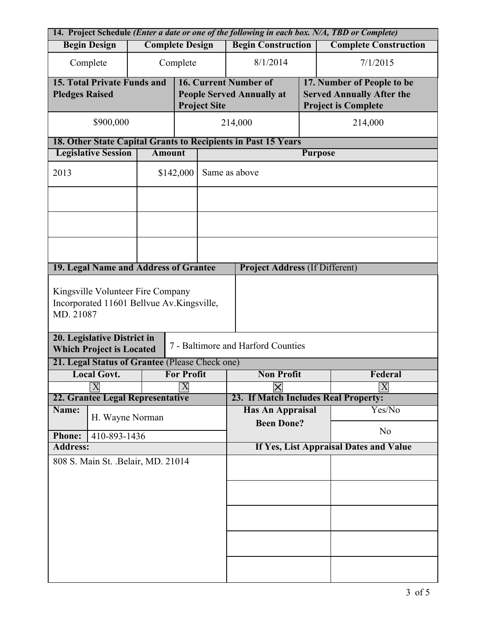| 14. Project Schedule (Enter a date or one of the following in each box. N/A, TBD or Complete) |                                                                |              |                  |                                        |                                       |                |                            |                                  |  |
|-----------------------------------------------------------------------------------------------|----------------------------------------------------------------|--------------|------------------|----------------------------------------|---------------------------------------|----------------|----------------------------|----------------------------------|--|
|                                                                                               | <b>Complete Design</b><br><b>Begin Design</b>                  |              |                  |                                        | <b>Begin Construction</b>             |                |                            | <b>Complete Construction</b>     |  |
|                                                                                               | Complete<br>Complete                                           |              |                  |                                        | 8/1/2014                              |                |                            | 7/1/2015                         |  |
|                                                                                               | <b>15. Total Private Funds and</b>                             |              |                  |                                        | 16. Current Number of                 |                | 17. Number of People to be |                                  |  |
| <b>Pledges Raised</b>                                                                         |                                                                |              |                  |                                        | <b>People Served Annually at</b>      |                |                            | <b>Served Annually After the</b> |  |
|                                                                                               |                                                                |              |                  | <b>Project Site</b>                    |                                       |                | <b>Project is Complete</b> |                                  |  |
|                                                                                               | \$900,000                                                      |              |                  | 214,000                                |                                       |                | 214,000                    |                                  |  |
| 18. Other State Capital Grants to Recipients in Past 15 Years                                 |                                                                |              |                  |                                        |                                       |                |                            |                                  |  |
| <b>Legislative Session</b><br><b>Amount</b>                                                   |                                                                |              |                  |                                        | <b>Purpose</b>                        |                |                            |                                  |  |
| 2013                                                                                          | \$142,000                                                      |              |                  | Same as above                          |                                       |                |                            |                                  |  |
|                                                                                               |                                                                |              |                  |                                        |                                       |                |                            |                                  |  |
|                                                                                               |                                                                |              |                  |                                        |                                       |                |                            |                                  |  |
|                                                                                               |                                                                |              |                  |                                        |                                       |                |                            |                                  |  |
|                                                                                               |                                                                |              |                  |                                        |                                       |                |                            |                                  |  |
|                                                                                               | 19. Legal Name and Address of Grantee                          |              |                  |                                        | <b>Project Address (If Different)</b> |                |                            |                                  |  |
| Kingsville Volunteer Fire Company<br>Incorporated 11601 Bellvue Av. Kingsville,<br>MD. 21087  |                                                                |              |                  |                                        |                                       |                |                            |                                  |  |
|                                                                                               | 20. Legislative District in<br><b>Which Project is Located</b> |              |                  |                                        | 7 - Baltimore and Harford Counties    |                |                            |                                  |  |
|                                                                                               | 21. Legal Status of Grantee (Please Check one)                 |              |                  |                                        |                                       |                |                            |                                  |  |
| <b>Local Govt.</b><br><b>For Profit</b>                                                       |                                                                |              |                  |                                        | <b>Non Profit</b><br>Federal          |                |                            |                                  |  |
|                                                                                               | $\overline{X}$                                                 |              | $\boldsymbol{X}$ |                                        |                                       | $\pmb{\times}$ |                            | $\vert X \vert$                  |  |
|                                                                                               | 22. Grantee Legal Representative                               |              |                  |                                        | 23. If Match Includes Real Property:  |                |                            |                                  |  |
| Name:                                                                                         | H. Wayne Norman                                                |              |                  |                                        | <b>Has An Appraisal</b>               |                |                            | Yes/No                           |  |
| <b>Phone:</b>                                                                                 |                                                                | 410-893-1436 |                  |                                        | <b>Been Done?</b>                     |                |                            | N <sub>0</sub>                   |  |
| <b>Address:</b>                                                                               |                                                                |              |                  | If Yes, List Appraisal Dates and Value |                                       |                |                            |                                  |  |
| 808 S. Main St. . Belair, MD. 21014                                                           |                                                                |              |                  |                                        |                                       |                |                            |                                  |  |
|                                                                                               |                                                                |              |                  |                                        |                                       |                |                            |                                  |  |
|                                                                                               |                                                                |              |                  |                                        |                                       |                |                            |                                  |  |
|                                                                                               |                                                                |              |                  |                                        |                                       |                |                            |                                  |  |
|                                                                                               |                                                                |              |                  |                                        |                                       |                |                            |                                  |  |
|                                                                                               |                                                                |              |                  |                                        |                                       |                |                            |                                  |  |
|                                                                                               |                                                                |              |                  |                                        |                                       |                |                            |                                  |  |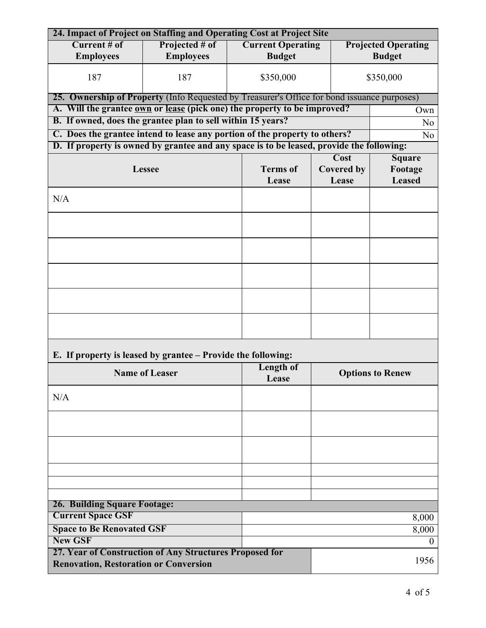| 24. Impact of Project on Staffing and Operating Cost at Project Site                                       |                           |                          |                         |                   |                            |  |  |  |  |  |
|------------------------------------------------------------------------------------------------------------|---------------------------|--------------------------|-------------------------|-------------------|----------------------------|--|--|--|--|--|
| Current # of                                                                                               | Projected # of            | <b>Current Operating</b> |                         |                   | <b>Projected Operating</b> |  |  |  |  |  |
| <b>Employees</b>                                                                                           | <b>Employees</b>          | <b>Budget</b>            |                         |                   |                            |  |  |  |  |  |
| 187                                                                                                        | 187                       | \$350,000                |                         |                   | \$350,000                  |  |  |  |  |  |
| 25. Ownership of Property (Info Requested by Treasurer's Office for bond issuance purposes)                |                           |                          |                         |                   |                            |  |  |  |  |  |
| A. Will the grantee <u>own</u> or lease (pick one) the property to be improved?                            |                           |                          |                         |                   | Own                        |  |  |  |  |  |
| B. If owned, does the grantee plan to sell within 15 years?                                                |                           | N <sub>0</sub>           |                         |                   |                            |  |  |  |  |  |
| C. Does the grantee intend to lease any portion of the property to others?                                 |                           |                          |                         |                   |                            |  |  |  |  |  |
| N <sub>o</sub><br>D. If property is owned by grantee and any space is to be leased, provide the following: |                           |                          |                         |                   |                            |  |  |  |  |  |
| <b>Cost</b><br><b>Square</b>                                                                               |                           |                          |                         |                   |                            |  |  |  |  |  |
|                                                                                                            | <b>Lessee</b>             | <b>Terms</b> of          |                         | <b>Covered by</b> | Footage                    |  |  |  |  |  |
|                                                                                                            |                           | Lease                    |                         | Lease             | <b>Leased</b>              |  |  |  |  |  |
|                                                                                                            |                           |                          |                         |                   |                            |  |  |  |  |  |
| N/A                                                                                                        |                           |                          |                         |                   |                            |  |  |  |  |  |
|                                                                                                            |                           |                          |                         |                   |                            |  |  |  |  |  |
|                                                                                                            |                           |                          |                         |                   |                            |  |  |  |  |  |
|                                                                                                            |                           |                          |                         |                   |                            |  |  |  |  |  |
|                                                                                                            |                           |                          |                         |                   |                            |  |  |  |  |  |
|                                                                                                            |                           |                          |                         |                   |                            |  |  |  |  |  |
|                                                                                                            |                           |                          |                         |                   |                            |  |  |  |  |  |
|                                                                                                            |                           |                          |                         |                   |                            |  |  |  |  |  |
|                                                                                                            |                           |                          |                         |                   |                            |  |  |  |  |  |
| E. If property is leased by grantee – Provide the following:                                               |                           |                          |                         |                   |                            |  |  |  |  |  |
| <b>Name of Leaser</b>                                                                                      | <b>Length of</b><br>Lease |                          | <b>Options to Renew</b> |                   |                            |  |  |  |  |  |
| N/A                                                                                                        |                           |                          |                         |                   |                            |  |  |  |  |  |
|                                                                                                            |                           |                          |                         |                   |                            |  |  |  |  |  |
|                                                                                                            |                           |                          |                         |                   |                            |  |  |  |  |  |
|                                                                                                            |                           |                          |                         |                   |                            |  |  |  |  |  |
|                                                                                                            |                           |                          |                         |                   |                            |  |  |  |  |  |
|                                                                                                            |                           |                          |                         |                   |                            |  |  |  |  |  |
|                                                                                                            |                           |                          |                         |                   |                            |  |  |  |  |  |
| <b>26. Building Square Footage:</b><br><b>Current Space GSF</b>                                            |                           |                          |                         |                   |                            |  |  |  |  |  |
|                                                                                                            |                           |                          |                         |                   | 8,000                      |  |  |  |  |  |
| <b>Space to Be Renovated GSF</b>                                                                           |                           |                          |                         |                   | 8,000                      |  |  |  |  |  |
| <b>New GSF</b>                                                                                             |                           |                          |                         |                   | $\bf{0}$                   |  |  |  |  |  |
| 27. Year of Construction of Any Structures Proposed for                                                    |                           |                          |                         |                   | 1956                       |  |  |  |  |  |
| <b>Renovation, Restoration or Conversion</b>                                                               |                           |                          |                         |                   |                            |  |  |  |  |  |